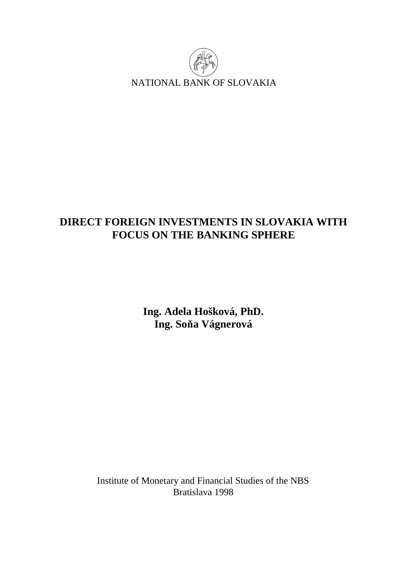

# **DIRECT FOREIGN INVESTMENTS IN SLOVAKIA WITH FOCUS ON THE BANKING SPHERE**

**Ing. Adela Hošková, PhD. Ing. Soňa Vágnerová** 

Institute of Monetary and Financial Studies of the NBS Bratislava 1998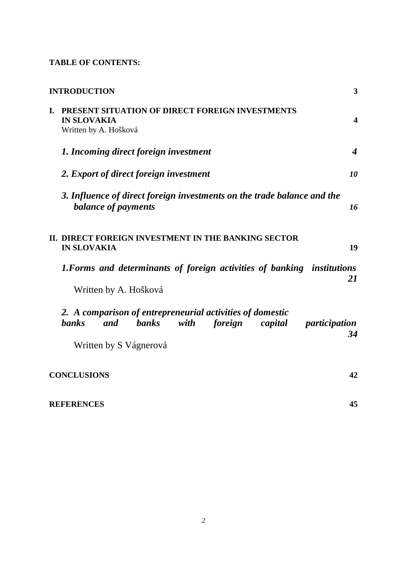# **TABLE OF CONTENTS:**

|    | <b>INTRODUCTION</b>                                                                                                                                                       | 3                       |
|----|---------------------------------------------------------------------------------------------------------------------------------------------------------------------------|-------------------------|
| I. | PRESENT SITUATION OF DIRECT FOREIGN INVESTMENTS<br><b>IN SLOVAKIA</b><br>Written by A. Hošková                                                                            | $\overline{\mathbf{4}}$ |
|    | 1. Incoming direct foreign investment                                                                                                                                     | $\boldsymbol{4}$        |
|    | 2. Export of direct foreign investment                                                                                                                                    | 10                      |
|    | 3. Influence of direct foreign investments on the trade balance and the<br>balance of payments                                                                            | 16                      |
|    | II. DIRECT FOREIGN INVESTMENT IN THE BANKING SECTOR<br><b>IN SLOVAKIA</b>                                                                                                 | 19                      |
|    | 1. Forms and determinants of foreign activities of banking institutions<br>Written by A. Hošková                                                                          | 21                      |
|    | 2. A comparison of entrepreneurial activities of domestic<br><b>banks</b><br><b>banks</b><br>with<br>foreign<br>capital<br>and<br>participation<br>Written by S Vágnerová | 34                      |
|    | <b>CONCLUSIONS</b>                                                                                                                                                        | 42                      |
|    | <b>REFERENCES</b>                                                                                                                                                         | 45                      |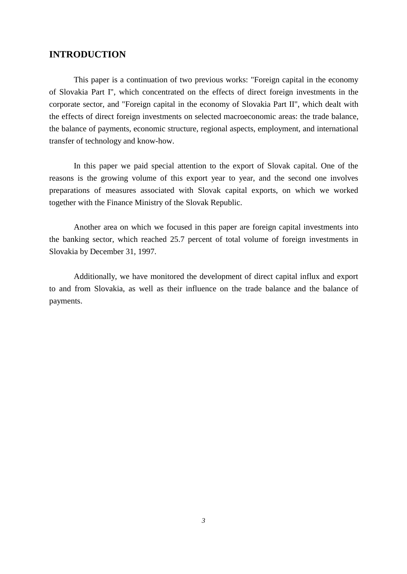# **INTRODUCTION**

This paper is a continuation of two previous works: "Foreign capital in the economy of Slovakia Part I", which concentrated on the effects of direct foreign investments in the corporate sector, and "Foreign capital in the economy of Slovakia Part II", which dealt with the effects of direct foreign investments on selected macroeconomic areas: the trade balance, the balance of payments, economic structure, regional aspects, employment, and international transfer of technology and know-how.

In this paper we paid special attention to the export of Slovak capital. One of the reasons is the growing volume of this export year to year, and the second one involves preparations of measures associated with Slovak capital exports, on which we worked together with the Finance Ministry of the Slovak Republic.

Another area on which we focused in this paper are foreign capital investments into the banking sector, which reached 25.7 percent of total volume of foreign investments in Slovakia by December 31, 1997.

Additionally, we have monitored the development of direct capital influx and export to and from Slovakia, as well as their influence on the trade balance and the balance of payments.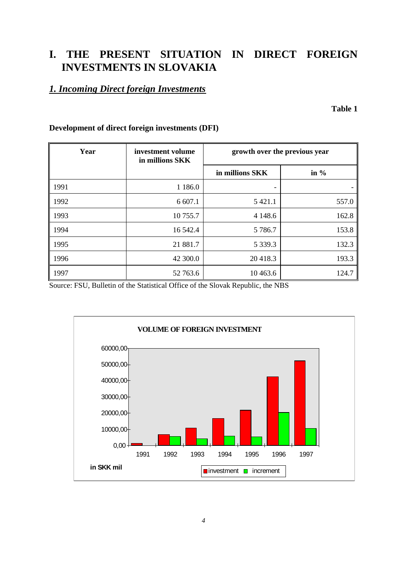# **I. THE PRESENT SITUATION IN DIRECT FOREIGN INVESTMENTS IN SLOVAKIA**

# *1. Incoming Direct foreign Investments*

**Table 1** 

| Year | investment volume<br>in millions SKK | growth over the previous year |         |
|------|--------------------------------------|-------------------------------|---------|
|      |                                      | in millions SKK               | in $\%$ |
| 1991 | 1 1 8 6 .0                           | $\overline{\phantom{0}}$      |         |
| 1992 | 6 607.1                              | 5 4 2 1 .1                    | 557.0   |
| 1993 | 10 755.7                             | 4 1 4 8 . 6                   | 162.8   |
| 1994 | 16 542.4                             | 5 7 8 6.7                     | 153.8   |
| 1995 | 21 881.7                             | 5 3 3 9 . 3                   | 132.3   |
| 1996 | 42 300.0                             | 20418.3                       | 193.3   |
| 1997 | 52 763.6                             | 10 463.6                      | 124.7   |

# **Development of direct foreign investments (DFI)**

Source: FSU, Bulletin of the Statistical Office of the Slovak Republic, the NBS

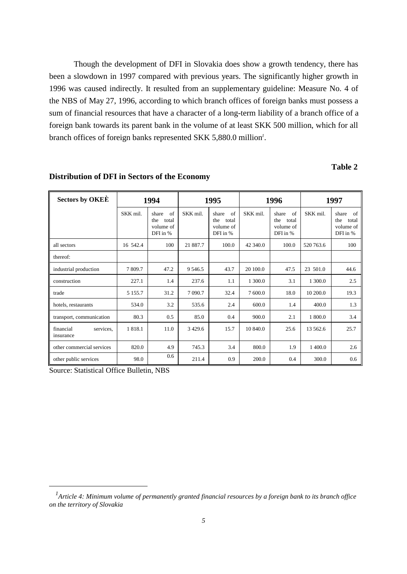Though the development of DFI in Slovakia does show a growth tendency, there has been a slowdown in 1997 compared with previous years. The significantly higher growth in 1996 was caused indirectly. It resulted from an supplementary guideline: Measure No. 4 of the NBS of May 27, 1996, according to which branch offices of foreign banks must possess a sum of financial resources that have a character of a long-term liability of a branch office of a foreign bank towards its parent bank in the volume of at least SKK 500 million, which for all branch offices of foreign banks represented SKK 5,880.0 million*<sup>1</sup>* .

# **Table 2**

| <b>Sectors by OKEE</b><br>1994      |            |                                                      | 1995       |                                                      | 1996     | 1997                                                 |           |                                                      |
|-------------------------------------|------------|------------------------------------------------------|------------|------------------------------------------------------|----------|------------------------------------------------------|-----------|------------------------------------------------------|
|                                     | SKK mil.   | of<br>share<br>total<br>the<br>volume of<br>DFI in % | SKK mil.   | of<br>share<br>the<br>total<br>volume of<br>DFI in % | SKK mil. | of<br>share<br>the<br>total<br>volume of<br>DFI in % | SKK mil.  | of<br>share<br>the<br>total<br>volume of<br>DFI in % |
| all sectors                         | 16 542.4   | 100                                                  | 21 887.7   | 100.0                                                | 42 340.0 | 100.0                                                | 520 763.6 | 100                                                  |
| thereof:                            |            |                                                      |            |                                                      |          |                                                      |           |                                                      |
| industrial production               | 7 809.7    | 47.2                                                 | 9 5 4 6 .5 | 43.7                                                 | 20 100.0 | 47.5                                                 | 23 501.0  | 44.6                                                 |
| construction                        | 227.1      | 1.4                                                  | 237.6      | 1.1                                                  | 1 300.0  | 3.1                                                  | 1 300.0   | 2.5                                                  |
| trade                               | 5 1 5 5 .7 | 31.2                                                 | 7 0 9 0.7  | 32.4                                                 | 7 600.0  | 18.0                                                 | 10 200.0  | 19.3                                                 |
| hotels, restaurants                 | 534.0      | 3.2                                                  | 535.6      | 2.4                                                  | 600.0    | 1.4                                                  | 400.0     | 1.3                                                  |
| transport, communication            | 80.3       | 0.5                                                  | 85.0       | 0.4                                                  | 900.0    | 2.1                                                  | 1 800.0   | 3.4                                                  |
| services.<br>financial<br>insurance | 1818.1     | 11.0                                                 | 3 4 29.6   | 15.7                                                 | 10 840.0 | 25.6                                                 | 13 562.6  | 25.7                                                 |
| other commercial services           | 820.0      | 4.9                                                  | 745.3      | 3.4                                                  | 800.0    | 1.9                                                  | 1 400.0   | 2.6                                                  |
| other public services               | 98.0       | 0.6                                                  | 211.4      | 0.9                                                  | 200.0    | 0.4                                                  | 300.0     | 0.6                                                  |

#### **Distribution of DFI in Sectors of the Economy**

Source: Statistical Office Bulletin, NBS

 $\overline{a}$ 

*<sup>1</sup> Article 4: Minimum volume of permanently granted financial resources by a foreign bank to its branch office on the territory of Slovakia*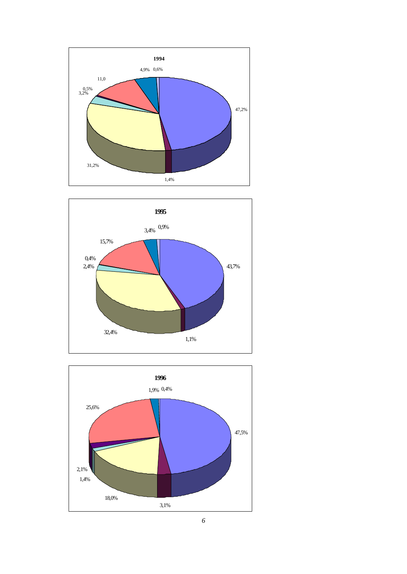





*6*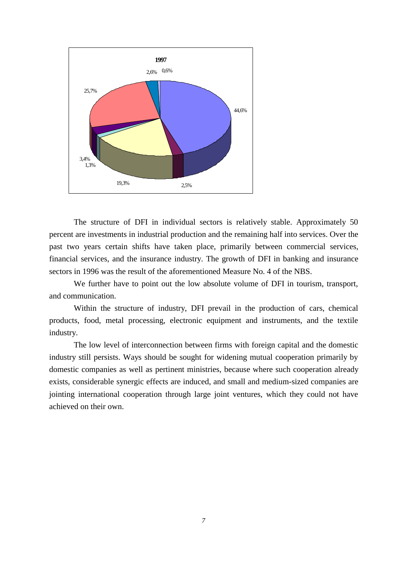

The structure of DFI in individual sectors is relatively stable. Approximately 50 percent are investments in industrial production and the remaining half into services. Over the past two years certain shifts have taken place, primarily between commercial services, financial services, and the insurance industry. The growth of DFI in banking and insurance sectors in 1996 was the result of the aforementioned Measure No. 4 of the NBS.

We further have to point out the low absolute volume of DFI in tourism, transport, and communication.

Within the structure of industry, DFI prevail in the production of cars, chemical products, food, metal processing, electronic equipment and instruments, and the textile industry.

The low level of interconnection between firms with foreign capital and the domestic industry still persists. Ways should be sought for widening mutual cooperation primarily by domestic companies as well as pertinent ministries, because where such cooperation already exists, considerable synergic effects are induced, and small and medium-sized companies are jointing international cooperation through large joint ventures, which they could not have achieved on their own.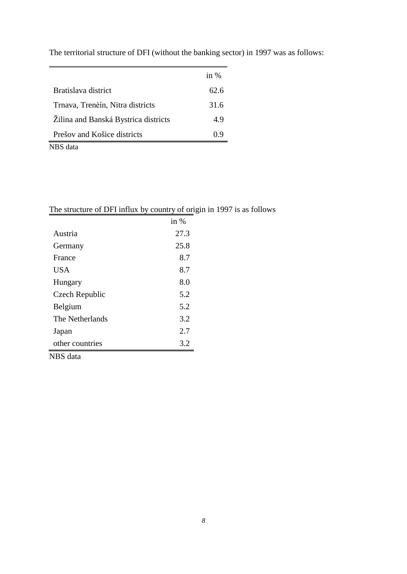|                                      | in $%$ |
|--------------------------------------|--------|
| Bratislava district                  | 62.6   |
| Trnava, Trenèín, Nitra districts     | 31.6   |
| Zilina and Banská Bystrica districts | 4.9    |
| Prešov and Košice districts          | 0.9    |
| NBS data                             |        |

The territorial structure of DFI (without the banking sector) in 1997 was as follows:

|         | -      |
|---------|--------|
|         | in $%$ |
| Austria | 27.3   |
| Germany | 25.8   |

France 8.7 USA  $8.7$ Hungary 8.0 Czech Republic 5.2 Belgium 5.2 The Netherlands 3.2 Japan 2.7 other countries 3.2

NBS data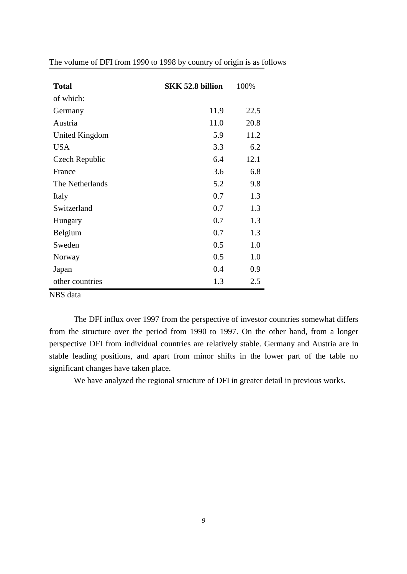| <b>Total</b>                    | <b>SKK 52.8 billion</b> | 100% |
|---------------------------------|-------------------------|------|
| of which:                       |                         |      |
| Germany                         | 11.9                    | 22.5 |
| Austria                         | 11.0                    | 20.8 |
| United Kingdom                  | 5.9                     | 11.2 |
| <b>USA</b>                      | 3.3                     | 6.2  |
| Czech Republic                  | 6.4                     | 12.1 |
| France                          | 3.6                     | 6.8  |
| The Netherlands                 | 5.2                     | 9.8  |
| Italy                           | 0.7                     | 1.3  |
| Switzerland                     | 0.7                     | 1.3  |
| Hungary                         | 0.7                     | 1.3  |
| Belgium                         | 0.7                     | 1.3  |
| Sweden                          | 0.5                     | 1.0  |
| Norway                          | 0.5                     | 1.0  |
| Japan                           | 0.4                     | 0.9  |
| other countries<br>$\mathbf{1}$ | 1.3                     | 2.5  |

The volume of DFI from 1990 to 1998 by country of origin is as follows

NBS data

The DFI influx over 1997 from the perspective of investor countries somewhat differs from the structure over the period from 1990 to 1997. On the other hand, from a longer perspective DFI from individual countries are relatively stable. Germany and Austria are in stable leading positions, and apart from minor shifts in the lower part of the table no significant changes have taken place.

We have analyzed the regional structure of DFI in greater detail in previous works.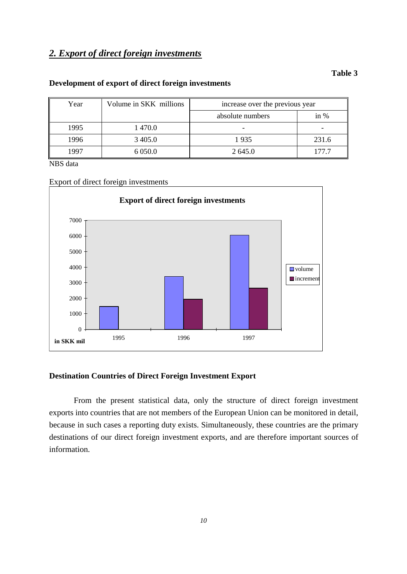# *2. Export of direct foreign investments*

#### **Table 3**

### **Development of export of direct foreign investments**

| Year | Volume in SKK millions | increase over the previous year |        |
|------|------------------------|---------------------------------|--------|
|      |                        | absolute numbers                | in $%$ |
| 1995 | 1 470.0                |                                 |        |
| 1996 | 3 4 0 5 .0             | 1935                            | 231.6  |
| 1997 | 6 0 5 0.0              | 2 645.0                         | 177.7  |

NBS data

Export of direct foreign investments



### **Destination Countries of Direct Foreign Investment Export**

From the present statistical data, only the structure of direct foreign investment exports into countries that are not members of the European Union can be monitored in detail, because in such cases a reporting duty exists. Simultaneously, these countries are the primary destinations of our direct foreign investment exports, and are therefore important sources of information.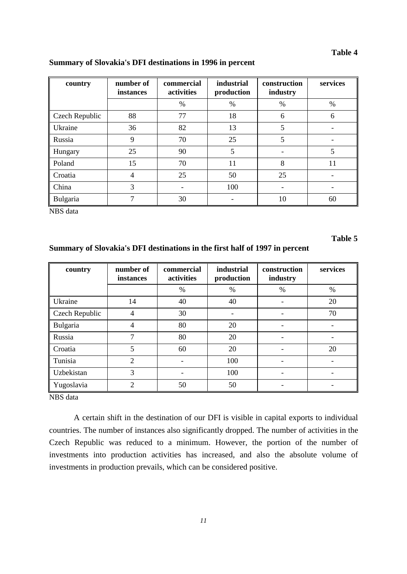#### **Table 4**

| country        | number of<br>instances | commercial<br>activities | <i>industrial</i><br>production | construction<br>industry | services |
|----------------|------------------------|--------------------------|---------------------------------|--------------------------|----------|
|                |                        | $\frac{0}{0}$            | $\%$                            | $\%$                     | $\%$     |
| Czech Republic | 88                     | 77                       | 18                              | 6                        | 6        |
| Ukraine        | 36                     | 82                       | 13                              | 5                        |          |
| Russia         | 9                      | 70                       | 25                              | 5                        |          |
| Hungary        | 25                     | 90                       | 5                               |                          | 5        |
| Poland         | 15                     | 70                       | 11                              | 8                        | 11       |
| Croatia        | 4                      | 25                       | 50                              | 25                       |          |
| China          | 3                      |                          | 100                             |                          |          |
| Bulgaria       | 7                      | 30                       |                                 | 10                       | 60       |

#### **Summary of Slovakia's DFI destinations in 1996 in percent**

NBS data

# **Table 5**

# **Summary of Slovakia's DFI destinations in the first half of 1997 in percent**

| country        | number of<br>instances | commercial<br>activities | industrial<br>production | construction<br>industry | services |
|----------------|------------------------|--------------------------|--------------------------|--------------------------|----------|
|                |                        | $\frac{0}{0}$            | $\%$                     | $\%$                     | $\%$     |
| Ukraine        | 14                     | 40                       | 40                       | $\overline{\phantom{0}}$ | 20       |
| Czech Republic | 4                      | 30                       | $\qquad \qquad$          |                          | 70       |
| Bulgaria       | 4                      | 80                       | 20                       |                          |          |
| Russia         | 7                      | 80                       | 20                       |                          |          |
| Croatia        | 5                      | 60                       | 20                       | $\overline{\phantom{0}}$ | 20       |
| Tunisia        | 2                      | $\overline{\phantom{a}}$ | 100                      |                          |          |
| Uzbekistan     | 3                      |                          | 100                      |                          |          |
| Yugoslavia     | 2                      | 50                       | 50                       |                          |          |

NBS data

A certain shift in the destination of our DFI is visible in capital exports to individual countries. The number of instances also significantly dropped. The number of activities in the Czech Republic was reduced to a minimum. However, the portion of the number of investments into production activities has increased, and also the absolute volume of investments in production prevails, which can be considered positive.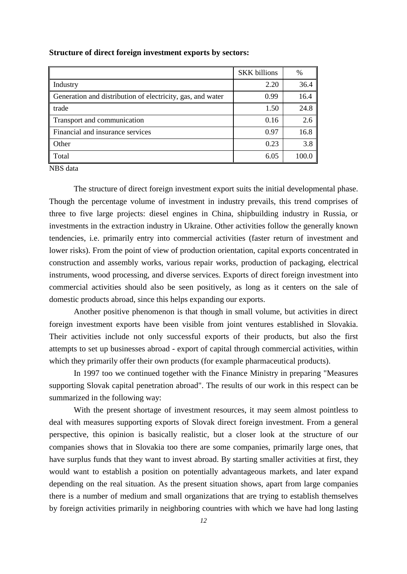|                                                            | <b>SKK</b> billions | $\%$  |
|------------------------------------------------------------|---------------------|-------|
| Industry                                                   | 2.20                | 36.4  |
| Generation and distribution of electricity, gas, and water | 0.99                | 16.4  |
| trade                                                      | 1.50                | 24.8  |
| Transport and communication                                | 0.16                | 2.6   |
| Financial and insurance services                           | 0.97                | 16.8  |
| Other                                                      | 0.23                | 3.8   |
| Total                                                      | 6.05                | 100.0 |

#### **Structure of direct foreign investment exports by sectors:**

NBS data

The structure of direct foreign investment export suits the initial developmental phase. Though the percentage volume of investment in industry prevails, this trend comprises of three to five large projects: diesel engines in China, shipbuilding industry in Russia, or investments in the extraction industry in Ukraine. Other activities follow the generally known tendencies, i.e. primarily entry into commercial activities (faster return of investment and lower risks). From the point of view of production orientation, capital exports concentrated in construction and assembly works, various repair works, production of packaging, electrical instruments, wood processing, and diverse services. Exports of direct foreign investment into commercial activities should also be seen positively, as long as it centers on the sale of domestic products abroad, since this helps expanding our exports.

Another positive phenomenon is that though in small volume, but activities in direct foreign investment exports have been visible from joint ventures established in Slovakia. Their activities include not only successful exports of their products, but also the first attempts to set up businesses abroad - export of capital through commercial activities, within which they primarily offer their own products (for example pharmaceutical products).

In 1997 too we continued together with the Finance Ministry in preparing "Measures supporting Slovak capital penetration abroad". The results of our work in this respect can be summarized in the following way:

With the present shortage of investment resources, it may seem almost pointless to deal with measures supporting exports of Slovak direct foreign investment. From a general perspective, this opinion is basically realistic, but a closer look at the structure of our companies shows that in Slovakia too there are some companies, primarily large ones, that have surplus funds that they want to invest abroad. By starting smaller activities at first, they would want to establish a position on potentially advantageous markets, and later expand depending on the real situation. As the present situation shows, apart from large companies there is a number of medium and small organizations that are trying to establish themselves by foreign activities primarily in neighboring countries with which we have had long lasting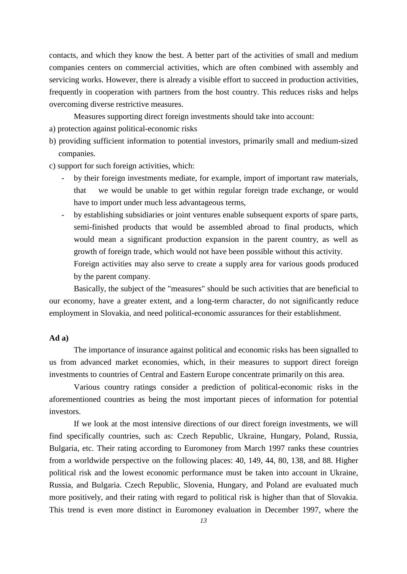contacts, and which they know the best. A better part of the activities of small and medium companies centers on commercial activities, which are often combined with assembly and servicing works. However, there is already a visible effort to succeed in production activities, frequently in cooperation with partners from the host country. This reduces risks and helps overcoming diverse restrictive measures.

Measures supporting direct foreign investments should take into account:

- a) protection against political-economic risks
- b) providing sufficient information to potential investors, primarily small and medium-sized companies.
- c) support for such foreign activities, which:
	- by their foreign investments mediate, for example, import of important raw materials, that we would be unable to get within regular foreign trade exchange, or would have to import under much less advantageous terms,
	- by establishing subsidiaries or joint ventures enable subsequent exports of spare parts, semi-finished products that would be assembled abroad to final products, which would mean a significant production expansion in the parent country, as well as growth of foreign trade, which would not have been possible without this activity.
		- Foreign activities may also serve to create a supply area for various goods produced by the parent company.

Basically, the subject of the "measures" should be such activities that are beneficial to our economy, have a greater extent, and a long-term character, do not significantly reduce employment in Slovakia, and need political-economic assurances for their establishment.

#### **Ad a)**

The importance of insurance against political and economic risks has been signalled to us from advanced market economies, which, in their measures to support direct foreign investments to countries of Central and Eastern Europe concentrate primarily on this area.

Various country ratings consider a prediction of political-economic risks in the aforementioned countries as being the most important pieces of information for potential investors.

If we look at the most intensive directions of our direct foreign investments, we will find specifically countries, such as: Czech Republic, Ukraine, Hungary, Poland, Russia, Bulgaria, etc. Their rating according to Euromoney from March 1997 ranks these countries from a worldwide perspective on the following places: 40, 149, 44, 80, 138, and 88. Higher political risk and the lowest economic performance must be taken into account in Ukraine, Russia, and Bulgaria. Czech Republic, Slovenia, Hungary, and Poland are evaluated much more positively, and their rating with regard to political risk is higher than that of Slovakia. This trend is even more distinct in Euromoney evaluation in December 1997, where the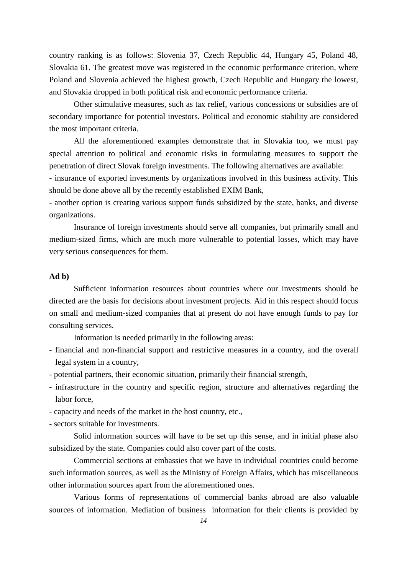country ranking is as follows: Slovenia 37, Czech Republic 44, Hungary 45, Poland 48, Slovakia 61. The greatest move was registered in the economic performance criterion, where Poland and Slovenia achieved the highest growth, Czech Republic and Hungary the lowest, and Slovakia dropped in both political risk and economic performance criteria.

Other stimulative measures, such as tax relief, various concessions or subsidies are of secondary importance for potential investors. Political and economic stability are considered the most important criteria.

All the aforementioned examples demonstrate that in Slovakia too, we must pay special attention to political and economic risks in formulating measures to support the penetration of direct Slovak foreign investments. The following alternatives are available:

- insurance of exported investments by organizations involved in this business activity. This should be done above all by the recently established EXIM Bank,

- another option is creating various support funds subsidized by the state, banks, and diverse organizations.

Insurance of foreign investments should serve all companies, but primarily small and medium-sized firms, which are much more vulnerable to potential losses, which may have very serious consequences for them.

## **Ad b)**

Sufficient information resources about countries where our investments should be directed are the basis for decisions about investment projects. Aid in this respect should focus on small and medium-sized companies that at present do not have enough funds to pay for consulting services.

Information is needed primarily in the following areas:

- financial and non-financial support and restrictive measures in a country, and the overall legal system in a country,
- potential partners, their economic situation, primarily their financial strength,
- infrastructure in the country and specific region, structure and alternatives regarding the labor force,
- capacity and needs of the market in the host country, etc.,
- sectors suitable for investments.

Solid information sources will have to be set up this sense, and in initial phase also subsidized by the state. Companies could also cover part of the costs.

Commercial sections at embassies that we have in individual countries could become such information sources, as well as the Ministry of Foreign Affairs, which has miscellaneous other information sources apart from the aforementioned ones.

Various forms of representations of commercial banks abroad are also valuable sources of information. Mediation of business information for their clients is provided by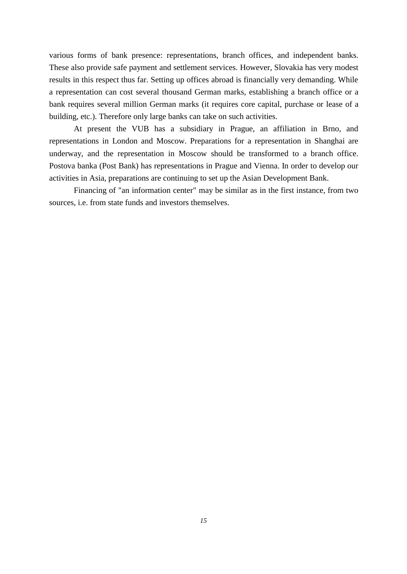various forms of bank presence: representations, branch offices, and independent banks. These also provide safe payment and settlement services. However, Slovakia has very modest results in this respect thus far. Setting up offices abroad is financially very demanding. While a representation can cost several thousand German marks, establishing a branch office or a bank requires several million German marks (it requires core capital, purchase or lease of a building, etc.). Therefore only large banks can take on such activities.

At present the VUB has a subsidiary in Prague, an affiliation in Brno, and representations in London and Moscow. Preparations for a representation in Shanghai are underway, and the representation in Moscow should be transformed to a branch office. Postova banka (Post Bank) has representations in Prague and Vienna. In order to develop our activities in Asia, preparations are continuing to set up the Asian Development Bank.

Financing of "an information center" may be similar as in the first instance, from two sources, i.e. from state funds and investors themselves.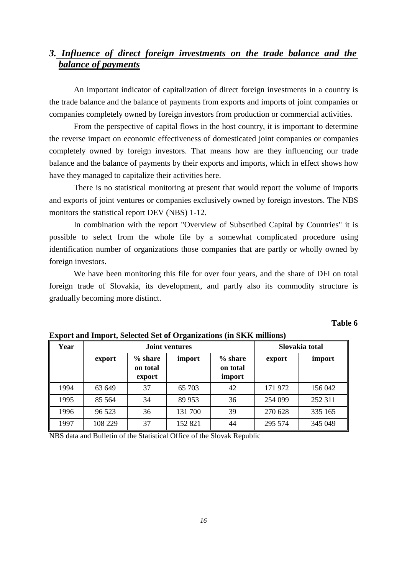# *3. Influence of direct foreign investments on the trade balance and the balance of payments*

An important indicator of capitalization of direct foreign investments in a country is the trade balance and the balance of payments from exports and imports of joint companies or companies completely owned by foreign investors from production or commercial activities.

From the perspective of capital flows in the host country, it is important to determine the reverse impact on economic effectiveness of domesticated joint companies or companies completely owned by foreign investors. That means how are they influencing our trade balance and the balance of payments by their exports and imports, which in effect shows how have they managed to capitalize their activities here.

There is no statistical monitoring at present that would report the volume of imports and exports of joint ventures or companies exclusively owned by foreign investors. The NBS monitors the statistical report DEV (NBS) 1-12.

In combination with the report "Overview of Subscribed Capital by Countries" it is possible to select from the whole file by a somewhat complicated procedure using identification number of organizations those companies that are partly or wholly owned by foreign investors.

We have been monitoring this file for over four years, and the share of DFI on total foreign trade of Slovakia, its development, and partly also its commodity structure is gradually becoming more distinct.

### **Table 6**

| Year |         | <b>Joint ventures</b>           | Slovakia total |                                 |         |         |
|------|---------|---------------------------------|----------------|---------------------------------|---------|---------|
|      | export  | $%$ share<br>on total<br>export | import         | $%$ share<br>on total<br>import | export  | import  |
| 1994 | 63 649  | 37                              | 65 703         | 42                              | 171 972 | 156 042 |
| 1995 | 85 5 64 | 34                              | 89 953         | 36                              | 254 099 | 252 311 |
| 1996 | 96 523  | 36                              | 131 700        | 39                              | 270 628 | 335 165 |
| 1997 | 108 229 | 37                              | 152 821        | 44                              | 295 574 | 345 049 |

**Export and Import, Selected Set of Organizations (in SKK millions)**

NBS data and Bulletin of the Statistical Office of the Slovak Republic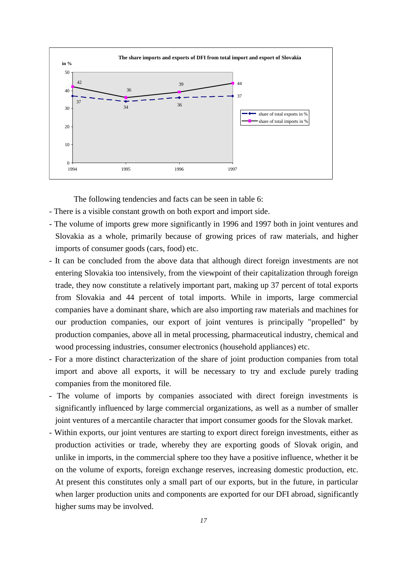

The following tendencies and facts can be seen in table 6:

- There is a visible constant growth on both export and import side.
- The volume of imports grew more significantly in 1996 and 1997 both in joint ventures and Slovakia as a whole, primarily because of growing prices of raw materials, and higher imports of consumer goods (cars, food) etc.
- It can be concluded from the above data that although direct foreign investments are not entering Slovakia too intensively, from the viewpoint of their capitalization through foreign trade, they now constitute a relatively important part, making up 37 percent of total exports from Slovakia and 44 percent of total imports. While in imports, large commercial companies have a dominant share, which are also importing raw materials and machines for our production companies, our export of joint ventures is principally "propelled" by production companies, above all in metal processing, pharmaceutical industry, chemical and wood processing industries, consumer electronics (household appliances) etc.
- For a more distinct characterization of the share of joint production companies from total import and above all exports, it will be necessary to try and exclude purely trading companies from the monitored file.
- The volume of imports by companies associated with direct foreign investments is significantly influenced by large commercial organizations, as well as a number of smaller joint ventures of a mercantile character that import consumer goods for the Slovak market.
- Within exports, our joint ventures are starting to export direct foreign investments, either as production activities or trade, whereby they are exporting goods of Slovak origin, and unlike in imports, in the commercial sphere too they have a positive influence, whether it be on the volume of exports, foreign exchange reserves, increasing domestic production, etc. At present this constitutes only a small part of our exports, but in the future, in particular when larger production units and components are exported for our DFI abroad, significantly higher sums may be involved.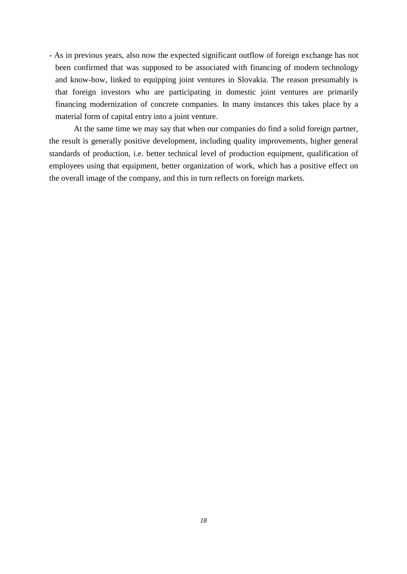- As in previous years, also now the expected significant outflow of foreign exchange has not been confirmed that was supposed to be associated with financing of modern technology and know-how, linked to equipping joint ventures in Slovakia. The reason presumably is that foreign investors who are participating in domestic joint ventures are primarily financing modernization of concrete companies. In many instances this takes place by a material form of capital entry into a joint venture.

At the same time we may say that when our companies do find a solid foreign partner, the result is generally positive development, including quality improvements, higher general standards of production, i.e. better technical level of production equipment, qualification of employees using that equipment, better organization of work, which has a positive effect on the overall image of the company, and this in turn reflects on foreign markets.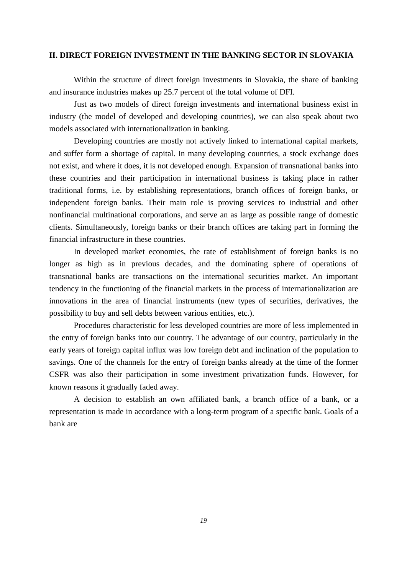### **II. DIRECT FOREIGN INVESTMENT IN THE BANKING SECTOR IN SLOVAKIA**

Within the structure of direct foreign investments in Slovakia, the share of banking and insurance industries makes up 25.7 percent of the total volume of DFI.

Just as two models of direct foreign investments and international business exist in industry (the model of developed and developing countries), we can also speak about two models associated with internationalization in banking.

Developing countries are mostly not actively linked to international capital markets, and suffer form a shortage of capital. In many developing countries, a stock exchange does not exist, and where it does, it is not developed enough. Expansion of transnational banks into these countries and their participation in international business is taking place in rather traditional forms, i.e. by establishing representations, branch offices of foreign banks, or independent foreign banks. Their main role is proving services to industrial and other nonfinancial multinational corporations, and serve an as large as possible range of domestic clients. Simultaneously, foreign banks or their branch offices are taking part in forming the financial infrastructure in these countries.

In developed market economies, the rate of establishment of foreign banks is no longer as high as in previous decades, and the dominating sphere of operations of transnational banks are transactions on the international securities market. An important tendency in the functioning of the financial markets in the process of internationalization are innovations in the area of financial instruments (new types of securities, derivatives, the possibility to buy and sell debts between various entities, etc.).

Procedures characteristic for less developed countries are more of less implemented in the entry of foreign banks into our country. The advantage of our country, particularly in the early years of foreign capital influx was low foreign debt and inclination of the population to savings. One of the channels for the entry of foreign banks already at the time of the former CSFR was also their participation in some investment privatization funds. However, for known reasons it gradually faded away.

A decision to establish an own affiliated bank, a branch office of a bank, or a representation is made in accordance with a long-term program of a specific bank. Goals of a bank are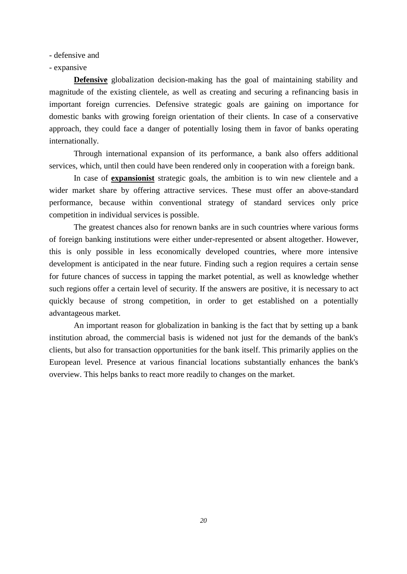- defensive and

#### - expansive

**Defensive** globalization decision-making has the goal of maintaining stability and magnitude of the existing clientele, as well as creating and securing a refinancing basis in important foreign currencies. Defensive strategic goals are gaining on importance for domestic banks with growing foreign orientation of their clients. In case of a conservative approach, they could face a danger of potentially losing them in favor of banks operating internationally.

Through international expansion of its performance, a bank also offers additional services, which, until then could have been rendered only in cooperation with a foreign bank.

In case of **expansionist** strategic goals, the ambition is to win new clientele and a wider market share by offering attractive services. These must offer an above-standard performance, because within conventional strategy of standard services only price competition in individual services is possible.

The greatest chances also for renown banks are in such countries where various forms of foreign banking institutions were either under-represented or absent altogether. However, this is only possible in less economically developed countries, where more intensive development is anticipated in the near future. Finding such a region requires a certain sense for future chances of success in tapping the market potential, as well as knowledge whether such regions offer a certain level of security. If the answers are positive, it is necessary to act quickly because of strong competition, in order to get established on a potentially advantageous market.

An important reason for globalization in banking is the fact that by setting up a bank institution abroad, the commercial basis is widened not just for the demands of the bank's clients, but also for transaction opportunities for the bank itself. This primarily applies on the European level. Presence at various financial locations substantially enhances the bank's overview. This helps banks to react more readily to changes on the market.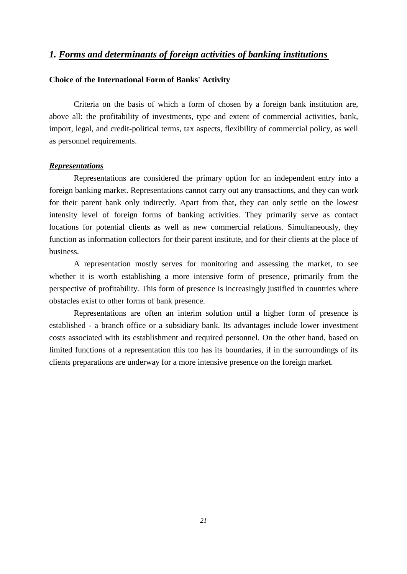# *1. Forms and determinants of foreign activities of banking institutions*

### **Choice of the International Form of Banks' Activity**

Criteria on the basis of which a form of chosen by a foreign bank institution are, above all: the profitability of investments, type and extent of commercial activities, bank, import, legal, and credit-political terms, tax aspects, flexibility of commercial policy, as well as personnel requirements.

#### *Representations*

Representations are considered the primary option for an independent entry into a foreign banking market. Representations cannot carry out any transactions, and they can work for their parent bank only indirectly. Apart from that, they can only settle on the lowest intensity level of foreign forms of banking activities. They primarily serve as contact locations for potential clients as well as new commercial relations. Simultaneously, they function as information collectors for their parent institute, and for their clients at the place of business.

A representation mostly serves for monitoring and assessing the market, to see whether it is worth establishing a more intensive form of presence, primarily from the perspective of profitability. This form of presence is increasingly justified in countries where obstacles exist to other forms of bank presence.

Representations are often an interim solution until a higher form of presence is established - a branch office or a subsidiary bank. Its advantages include lower investment costs associated with its establishment and required personnel. On the other hand, based on limited functions of a representation this too has its boundaries, if in the surroundings of its clients preparations are underway for a more intensive presence on the foreign market.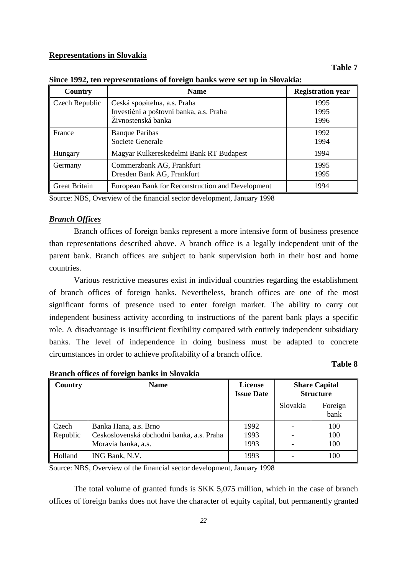#### **Representations in Slovakia**

#### **Table 7**

| Country              | <b>Name</b>                                      | <b>Registration year</b> |
|----------------------|--------------------------------------------------|--------------------------|
| Czech Republic       | Ceská spoøitelna, a.s. Praha                     | 1995                     |
|                      | Investièní a poštovní banka, a.s. Praha          | 1995                     |
|                      | Živnostenská banka                               | 1996                     |
| France               | <b>Banque Paribas</b>                            | 1992                     |
|                      | Societe Generale                                 | 1994                     |
| Hungary              | Magyar Kulkereskedelmi Bank RT Budapest          | 1994                     |
| Germany              | Commerzbank AG, Frankfurt                        | 1995                     |
|                      | Dresden Bank AG, Frankfurt                       | 1995                     |
| <b>Great Britain</b> | European Bank for Reconstruction and Development | 1994                     |

**Since 1992, ten representations of foreign banks were set up in Slovakia:**

Source: NBS, Overview of the financial sector development, January 1998

#### *Branch Offices*

Branch offices of foreign banks represent a more intensive form of business presence than representations described above. A branch office is a legally independent unit of the parent bank. Branch offices are subject to bank supervision both in their host and home countries.

Various restrictive measures exist in individual countries regarding the establishment of branch offices of foreign banks. Nevertheless, branch offices are one of the most significant forms of presence used to enter foreign market. The ability to carry out independent business activity according to instructions of the parent bank plays a specific role. A disadvantage is insufficient flexibility compared with entirely independent subsidiary banks. The level of independence in doing business must be adapted to concrete circumstances in order to achieve profitability of a branch office.

#### **Table 8**

| Country  | <b>Name</b>                               | <b>License</b><br><b>Issue Date</b> | <b>Share Capital</b><br><b>Structure</b> |                 |
|----------|-------------------------------------------|-------------------------------------|------------------------------------------|-----------------|
|          |                                           |                                     | Slovakia                                 | Foreign<br>bank |
| Czech    | Banka Hana, a.s. Brno                     | 1992                                |                                          | 100             |
| Republic | Ceskoslovenská obchodni banka, a.s. Praha | 1993                                |                                          | 100             |
|          | Moravia banka, a.s.                       | 1993                                |                                          | 100             |
| Holland  | ING Bank, N.V.                            | 1993                                |                                          | 100             |

### **Branch offices of foreign banks in Slovakia**

Source: NBS, Overview of the financial sector development, January 1998

The total volume of granted funds is SKK 5,075 million, which in the case of branch offices of foreign banks does not have the character of equity capital, but permanently granted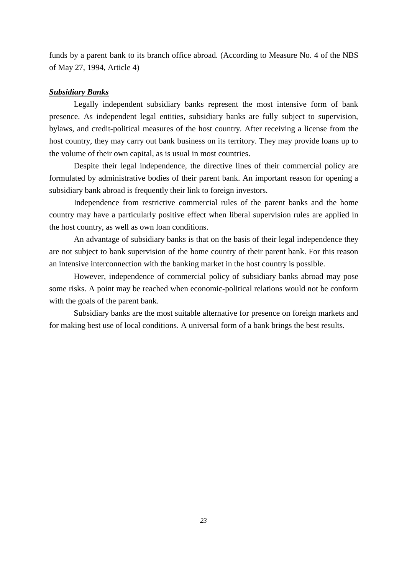funds by a parent bank to its branch office abroad. (According to Measure No. 4 of the NBS of May 27, 1994, Article 4)

#### *Subsidiary Banks*

Legally independent subsidiary banks represent the most intensive form of bank presence. As independent legal entities, subsidiary banks are fully subject to supervision, bylaws, and credit-political measures of the host country. After receiving a license from the host country, they may carry out bank business on its territory. They may provide loans up to the volume of their own capital, as is usual in most countries.

Despite their legal independence, the directive lines of their commercial policy are formulated by administrative bodies of their parent bank. An important reason for opening a subsidiary bank abroad is frequently their link to foreign investors.

Independence from restrictive commercial rules of the parent banks and the home country may have a particularly positive effect when liberal supervision rules are applied in the host country, as well as own loan conditions.

An advantage of subsidiary banks is that on the basis of their legal independence they are not subject to bank supervision of the home country of their parent bank. For this reason an intensive interconnection with the banking market in the host country is possible.

However, independence of commercial policy of subsidiary banks abroad may pose some risks. A point may be reached when economic-political relations would not be conform with the goals of the parent bank.

Subsidiary banks are the most suitable alternative for presence on foreign markets and for making best use of local conditions. A universal form of a bank brings the best results.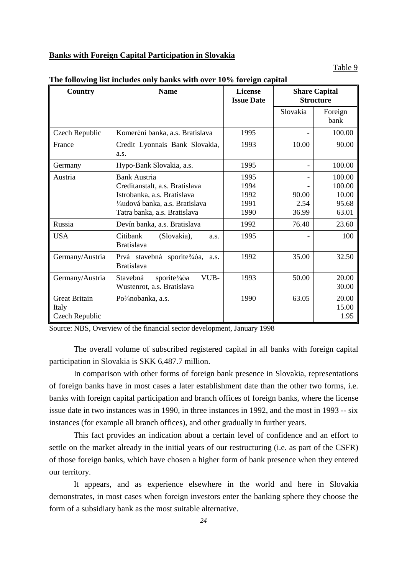## **Banks with Foreign Capital Participation in Slovakia**

#### Table 9

| Country              | <b>Name</b>                                                                 | <b>License</b><br><b>Issue Date</b> | <b>Share Capital</b><br><b>Structure</b> |                 |
|----------------------|-----------------------------------------------------------------------------|-------------------------------------|------------------------------------------|-----------------|
|                      |                                                                             |                                     | Slovakia                                 | Foreign<br>bank |
| Czech Republic       | Komerèní banka, a.s. Bratislava                                             | 1995                                |                                          | 100.00          |
| France               | Credit Lyonnais Bank Slovakia,<br>a.s.                                      | 1993                                | 10.00                                    | 90.00           |
| Germany              | Hypo-Bank Slovakia, a.s.                                                    | 1995                                |                                          | 100.00          |
| Austria              | <b>Bank Austria</b>                                                         | 1995                                |                                          | 100.00          |
|                      | Creditanstalt, a.s. Bratislava                                              | 1994                                |                                          | 100.00          |
|                      | Istrobanka, a.s. Bratislava                                                 | 1992                                | 90.00                                    | 10.00           |
|                      | ¼udová banka, a.s. Bratislava                                               | 1991                                | 2.54                                     | 95.68           |
|                      | Tatra banka, a.s. Bratislava                                                | 1990                                | 36.99                                    | 63.01           |
| Russia               | Devín banka, a.s. Bratislava                                                | 1992                                | 76.40                                    | 23.60           |
| <b>USA</b>           | (Slovakia),<br>Citibank<br>a.s.<br><b>Bratislava</b>                        | 1995                                |                                          | 100             |
| Germany/Austria      | Prvá stavebná<br>sporite $\frac{3}{4}$ a,<br>a.s.<br><b>Bratislava</b>      | 1992                                | 35.00                                    | 32.50           |
| Germany/Austria      | Stavebná<br>VUB-<br>sporite <sup>3</sup> /40a<br>Wustenrot, a.s. Bratislava | 1993                                | 50.00                                    | 20.00<br>30.00  |
| <b>Great Britain</b> | Po <sup>3</sup> / <sub>4</sub> nobanka, a.s.                                | 1990                                | 63.05                                    | 20.00           |
| Italy                |                                                                             |                                     |                                          | 15.00           |
| Czech Republic       |                                                                             |                                     |                                          | 1.95            |

#### **The following list includes only banks with over 10% foreign capital**

Source: NBS, Overview of the financial sector development, January 1998

The overall volume of subscribed registered capital in all banks with foreign capital participation in Slovakia is SKK 6,487.7 million.

In comparison with other forms of foreign bank presence in Slovakia, representations of foreign banks have in most cases a later establishment date than the other two forms, i.e. banks with foreign capital participation and branch offices of foreign banks, where the license issue date in two instances was in 1990, in three instances in 1992, and the most in 1993 -- six instances (for example all branch offices), and other gradually in further years.

This fact provides an indication about a certain level of confidence and an effort to settle on the market already in the initial years of our restructuring (i.e. as part of the CSFR) of those foreign banks, which have chosen a higher form of bank presence when they entered our territory.

It appears, and as experience elsewhere in the world and here in Slovakia demonstrates, in most cases when foreign investors enter the banking sphere they choose the form of a subsidiary bank as the most suitable alternative.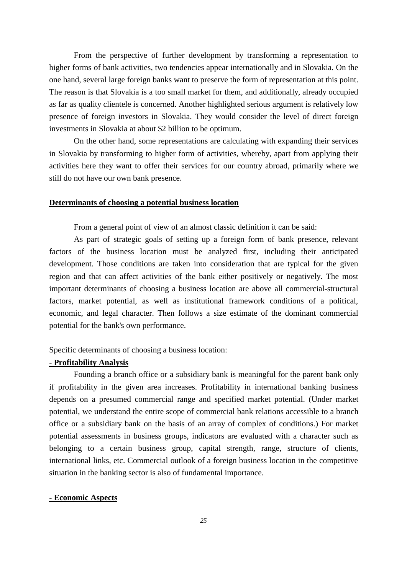From the perspective of further development by transforming a representation to higher forms of bank activities, two tendencies appear internationally and in Slovakia. On the one hand, several large foreign banks want to preserve the form of representation at this point. The reason is that Slovakia is a too small market for them, and additionally, already occupied as far as quality clientele is concerned. Another highlighted serious argument is relatively low presence of foreign investors in Slovakia. They would consider the level of direct foreign investments in Slovakia at about \$2 billion to be optimum.

On the other hand, some representations are calculating with expanding their services in Slovakia by transforming to higher form of activities, whereby, apart from applying their activities here they want to offer their services for our country abroad, primarily where we still do not have our own bank presence.

#### **Determinants of choosing a potential business location**

From a general point of view of an almost classic definition it can be said:

As part of strategic goals of setting up a foreign form of bank presence, relevant factors of the business location must be analyzed first, including their anticipated development. Those conditions are taken into consideration that are typical for the given region and that can affect activities of the bank either positively or negatively. The most important determinants of choosing a business location are above all commercial-structural factors, market potential, as well as institutional framework conditions of a political, economic, and legal character. Then follows a size estimate of the dominant commercial potential for the bank's own performance.

Specific determinants of choosing a business location:

### **- Profitability Analysis**

Founding a branch office or a subsidiary bank is meaningful for the parent bank only if profitability in the given area increases. Profitability in international banking business depends on a presumed commercial range and specified market potential. (Under market potential, we understand the entire scope of commercial bank relations accessible to a branch office or a subsidiary bank on the basis of an array of complex of conditions.) For market potential assessments in business groups, indicators are evaluated with a character such as belonging to a certain business group, capital strength, range, structure of clients, international links, etc. Commercial outlook of a foreign business location in the competitive situation in the banking sector is also of fundamental importance.

#### **- Economic Aspects**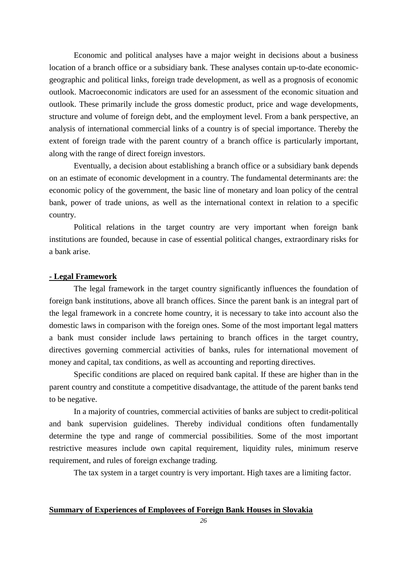Economic and political analyses have a major weight in decisions about a business location of a branch office or a subsidiary bank. These analyses contain up-to-date economicgeographic and political links, foreign trade development, as well as a prognosis of economic outlook. Macroeconomic indicators are used for an assessment of the economic situation and outlook. These primarily include the gross domestic product, price and wage developments, structure and volume of foreign debt, and the employment level. From a bank perspective, an analysis of international commercial links of a country is of special importance. Thereby the extent of foreign trade with the parent country of a branch office is particularly important, along with the range of direct foreign investors.

Eventually, a decision about establishing a branch office or a subsidiary bank depends on an estimate of economic development in a country. The fundamental determinants are: the economic policy of the government, the basic line of monetary and loan policy of the central bank, power of trade unions, as well as the international context in relation to a specific country.

Political relations in the target country are very important when foreign bank institutions are founded, because in case of essential political changes, extraordinary risks for a bank arise.

### **- Legal Framework**

The legal framework in the target country significantly influences the foundation of foreign bank institutions, above all branch offices. Since the parent bank is an integral part of the legal framework in a concrete home country, it is necessary to take into account also the domestic laws in comparison with the foreign ones. Some of the most important legal matters a bank must consider include laws pertaining to branch offices in the target country, directives governing commercial activities of banks, rules for international movement of money and capital, tax conditions, as well as accounting and reporting directives.

Specific conditions are placed on required bank capital. If these are higher than in the parent country and constitute a competitive disadvantage, the attitude of the parent banks tend to be negative.

In a majority of countries, commercial activities of banks are subject to credit-political and bank supervision guidelines. Thereby individual conditions often fundamentally determine the type and range of commercial possibilities. Some of the most important restrictive measures include own capital requirement, liquidity rules, minimum reserve requirement, and rules of foreign exchange trading.

The tax system in a target country is very important. High taxes are a limiting factor.

### **Summary of Experiences of Employees of Foreign Bank Houses in Slovakia**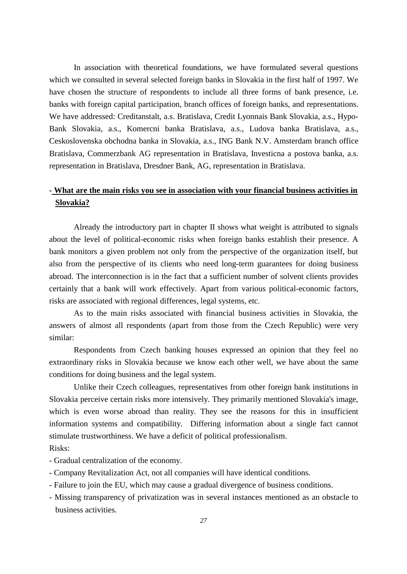In association with theoretical foundations, we have formulated several questions which we consulted in several selected foreign banks in Slovakia in the first half of 1997. We have chosen the structure of respondents to include all three forms of bank presence, i.e. banks with foreign capital participation, branch offices of foreign banks, and representations. We have addressed: Creditanstalt, a.s. Bratislava, Credit Lyonnais Bank Slovakia, a.s., Hypo-Bank Slovakia, a.s., Komercni banka Bratislava, a.s., Ludova banka Bratislava, a.s., Ceskoslovenska obchodna banka in Slovakia, a.s., ING Bank N.V. Amsterdam branch office Bratislava, Commerzbank AG representation in Bratislava, Investicna a postova banka, a.s. representation in Bratislava, Dresdner Bank, AG, representation in Bratislava.

# **- What are the main risks you see in association with your financial business activities in Slovakia?**

Already the introductory part in chapter II shows what weight is attributed to signals about the level of political-economic risks when foreign banks establish their presence. A bank monitors a given problem not only from the perspective of the organization itself, but also from the perspective of its clients who need long-term guarantees for doing business abroad. The interconnection is in the fact that a sufficient number of solvent clients provides certainly that a bank will work effectively. Apart from various political-economic factors, risks are associated with regional differences, legal systems, etc.

As to the main risks associated with financial business activities in Slovakia, the answers of almost all respondents (apart from those from the Czech Republic) were very similar:

Respondents from Czech banking houses expressed an opinion that they feel no extraordinary risks in Slovakia because we know each other well, we have about the same conditions for doing business and the legal system.

Unlike their Czech colleagues, representatives from other foreign bank institutions in Slovakia perceive certain risks more intensively. They primarily mentioned Slovakia's image, which is even worse abroad than reality. They see the reasons for this in insufficient information systems and compatibility. Differing information about a single fact cannot stimulate trustworthiness. We have a deficit of political professionalism.

- Risks:
- Gradual centralization of the economy.
- Company Revitalization Act, not all companies will have identical conditions.
- Failure to join the EU, which may cause a gradual divergence of business conditions.
- Missing transparency of privatization was in several instances mentioned as an obstacle to business activities.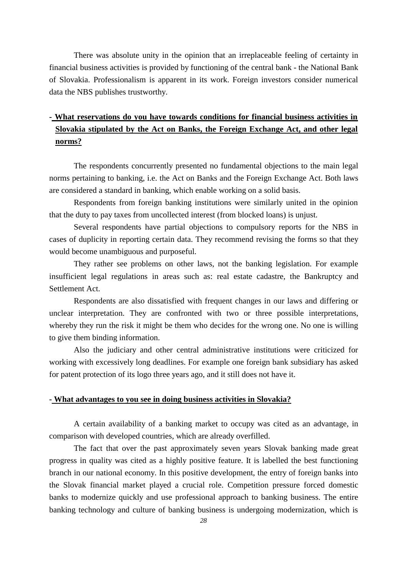There was absolute unity in the opinion that an irreplaceable feeling of certainty in financial business activities is provided by functioning of the central bank - the National Bank of Slovakia. Professionalism is apparent in its work. Foreign investors consider numerical data the NBS publishes trustworthy.

# **- What reservations do you have towards conditions for financial business activities in Slovakia stipulated by the Act on Banks, the Foreign Exchange Act, and other legal norms?**

The respondents concurrently presented no fundamental objections to the main legal norms pertaining to banking, i.e. the Act on Banks and the Foreign Exchange Act. Both laws are considered a standard in banking, which enable working on a solid basis.

Respondents from foreign banking institutions were similarly united in the opinion that the duty to pay taxes from uncollected interest (from blocked loans) is unjust.

Several respondents have partial objections to compulsory reports for the NBS in cases of duplicity in reporting certain data. They recommend revising the forms so that they would become unambiguous and purposeful.

They rather see problems on other laws, not the banking legislation. For example insufficient legal regulations in areas such as: real estate cadastre, the Bankruptcy and Settlement Act.

Respondents are also dissatisfied with frequent changes in our laws and differing or unclear interpretation. They are confronted with two or three possible interpretations, whereby they run the risk it might be them who decides for the wrong one. No one is willing to give them binding information.

Also the judiciary and other central administrative institutions were criticized for working with excessively long deadlines. For example one foreign bank subsidiary has asked for patent protection of its logo three years ago, and it still does not have it.

#### **- What advantages to you see in doing business activities in Slovakia?**

A certain availability of a banking market to occupy was cited as an advantage, in comparison with developed countries, which are already overfilled.

The fact that over the past approximately seven years Slovak banking made great progress in quality was cited as a highly positive feature. It is labelled the best functioning branch in our national economy. In this positive development, the entry of foreign banks into the Slovak financial market played a crucial role. Competition pressure forced domestic banks to modernize quickly and use professional approach to banking business. The entire banking technology and culture of banking business is undergoing modernization, which is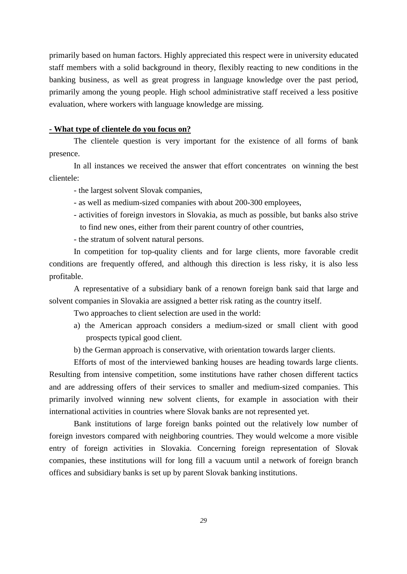primarily based on human factors. Highly appreciated this respect were in university educated staff members with a solid background in theory, flexibly reacting to new conditions in the banking business, as well as great progress in language knowledge over the past period, primarily among the young people. High school administrative staff received a less positive evaluation, where workers with language knowledge are missing.

#### **- What type of clientele do you focus on?**

The clientele question is very important for the existence of all forms of bank presence.

In all instances we received the answer that effort concentrates on winning the best clientele:

- the largest solvent Slovak companies,

- as well as medium-sized companies with about 200-300 employees,
- activities of foreign investors in Slovakia, as much as possible, but banks also strive to find new ones, either from their parent country of other countries,
- the stratum of solvent natural persons.

In competition for top-quality clients and for large clients, more favorable credit conditions are frequently offered, and although this direction is less risky, it is also less profitable.

A representative of a subsidiary bank of a renown foreign bank said that large and solvent companies in Slovakia are assigned a better risk rating as the country itself.

Two approaches to client selection are used in the world:

- a) the American approach considers a medium-sized or small client with good prospects typical good client.
- b) the German approach is conservative, with orientation towards larger clients.

Efforts of most of the interviewed banking houses are heading towards large clients. Resulting from intensive competition, some institutions have rather chosen different tactics and are addressing offers of their services to smaller and medium-sized companies. This primarily involved winning new solvent clients, for example in association with their international activities in countries where Slovak banks are not represented yet.

Bank institutions of large foreign banks pointed out the relatively low number of foreign investors compared with neighboring countries. They would welcome a more visible entry of foreign activities in Slovakia. Concerning foreign representation of Slovak companies, these institutions will for long fill a vacuum until a network of foreign branch offices and subsidiary banks is set up by parent Slovak banking institutions.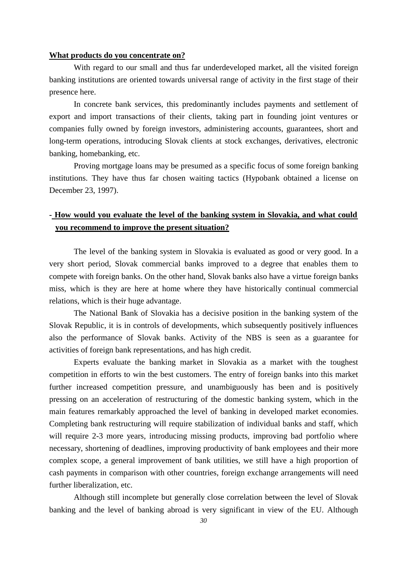#### **What products do you concentrate on?**

With regard to our small and thus far underdeveloped market, all the visited foreign banking institutions are oriented towards universal range of activity in the first stage of their presence here.

In concrete bank services, this predominantly includes payments and settlement of export and import transactions of their clients, taking part in founding joint ventures or companies fully owned by foreign investors, administering accounts, guarantees, short and long-term operations, introducing Slovak clients at stock exchanges, derivatives, electronic banking, homebanking, etc.

Proving mortgage loans may be presumed as a specific focus of some foreign banking institutions. They have thus far chosen waiting tactics (Hypobank obtained a license on December 23, 1997).

# **- How would you evaluate the level of the banking system in Slovakia, and what could you recommend to improve the present situation?**

The level of the banking system in Slovakia is evaluated as good or very good. In a very short period, Slovak commercial banks improved to a degree that enables them to compete with foreign banks. On the other hand, Slovak banks also have a virtue foreign banks miss, which is they are here at home where they have historically continual commercial relations, which is their huge advantage.

The National Bank of Slovakia has a decisive position in the banking system of the Slovak Republic, it is in controls of developments, which subsequently positively influences also the performance of Slovak banks. Activity of the NBS is seen as a guarantee for activities of foreign bank representations, and has high credit.

Experts evaluate the banking market in Slovakia as a market with the toughest competition in efforts to win the best customers. The entry of foreign banks into this market further increased competition pressure, and unambiguously has been and is positively pressing on an acceleration of restructuring of the domestic banking system, which in the main features remarkably approached the level of banking in developed market economies. Completing bank restructuring will require stabilization of individual banks and staff, which will require 2-3 more years, introducing missing products, improving bad portfolio where necessary, shortening of deadlines, improving productivity of bank employees and their more complex scope, a general improvement of bank utilities, we still have a high proportion of cash payments in comparison with other countries, foreign exchange arrangements will need further liberalization, etc.

Although still incomplete but generally close correlation between the level of Slovak banking and the level of banking abroad is very significant in view of the EU. Although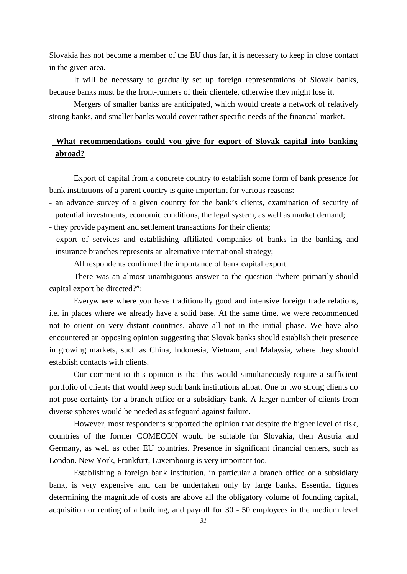Slovakia has not become a member of the EU thus far, it is necessary to keep in close contact in the given area.

It will be necessary to gradually set up foreign representations of Slovak banks, because banks must be the front-runners of their clientele, otherwise they might lose it.

Mergers of smaller banks are anticipated, which would create a network of relatively strong banks, and smaller banks would cover rather specific needs of the financial market.

# **- What recommendations could you give for export of Slovak capital into banking abroad?**

Export of capital from a concrete country to establish some form of bank presence for bank institutions of a parent country is quite important for various reasons:

- an advance survey of a given country for the bank's clients, examination of security of potential investments, economic conditions, the legal system, as well as market demand;
- they provide payment and settlement transactions for their clients;
- export of services and establishing affiliated companies of banks in the banking and insurance branches represents an alternative international strategy;

All respondents confirmed the importance of bank capital export.

There was an almost unambiguous answer to the question "where primarily should capital export be directed?":

Everywhere where you have traditionally good and intensive foreign trade relations, i.e. in places where we already have a solid base. At the same time, we were recommended not to orient on very distant countries, above all not in the initial phase. We have also encountered an opposing opinion suggesting that Slovak banks should establish their presence in growing markets, such as China, Indonesia, Vietnam, and Malaysia, where they should establish contacts with clients.

Our comment to this opinion is that this would simultaneously require a sufficient portfolio of clients that would keep such bank institutions afloat. One or two strong clients do not pose certainty for a branch office or a subsidiary bank. A larger number of clients from diverse spheres would be needed as safeguard against failure.

However, most respondents supported the opinion that despite the higher level of risk, countries of the former COMECON would be suitable for Slovakia, then Austria and Germany, as well as other EU countries. Presence in significant financial centers, such as London. New York, Frankfurt, Luxembourg is very important too.

Establishing a foreign bank institution, in particular a branch office or a subsidiary bank, is very expensive and can be undertaken only by large banks. Essential figures determining the magnitude of costs are above all the obligatory volume of founding capital, acquisition or renting of a building, and payroll for 30 - 50 employees in the medium level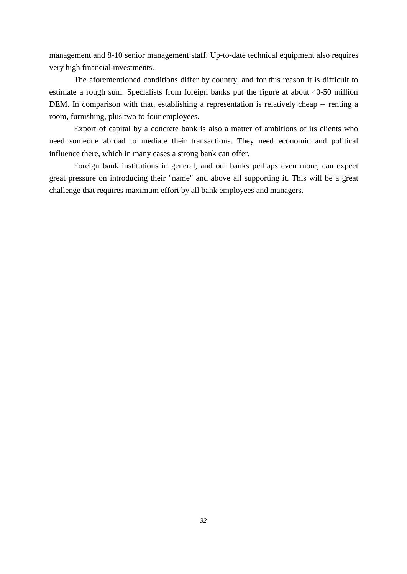management and 8-10 senior management staff. Up-to-date technical equipment also requires very high financial investments.

The aforementioned conditions differ by country, and for this reason it is difficult to estimate a rough sum. Specialists from foreign banks put the figure at about 40-50 million DEM. In comparison with that, establishing a representation is relatively cheap -- renting a room, furnishing, plus two to four employees.

Export of capital by a concrete bank is also a matter of ambitions of its clients who need someone abroad to mediate their transactions. They need economic and political influence there, which in many cases a strong bank can offer.

Foreign bank institutions in general, and our banks perhaps even more, can expect great pressure on introducing their "name" and above all supporting it. This will be a great challenge that requires maximum effort by all bank employees and managers.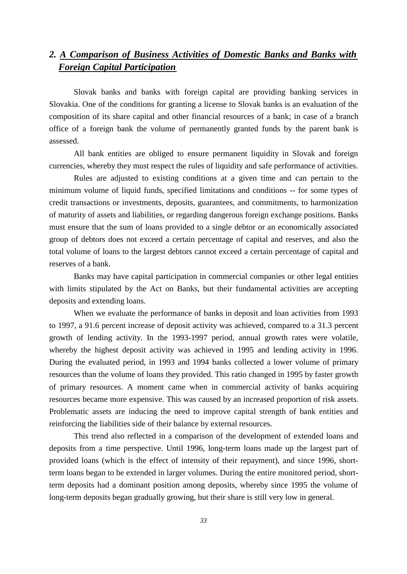# *2. A Comparison of Business Activities of Domestic Banks and Banks with Foreign Capital Participation*

Slovak banks and banks with foreign capital are providing banking services in Slovakia. One of the conditions for granting a license to Slovak banks is an evaluation of the composition of its share capital and other financial resources of a bank; in case of a branch office of a foreign bank the volume of permanently granted funds by the parent bank is assessed.

All bank entities are obliged to ensure permanent liquidity in Slovak and foreign currencies, whereby they must respect the rules of liquidity and safe performance of activities.

Rules are adjusted to existing conditions at a given time and can pertain to the minimum volume of liquid funds, specified limitations and conditions -- for some types of credit transactions or investments, deposits, guarantees, and commitments, to harmonization of maturity of assets and liabilities, or regarding dangerous foreign exchange positions. Banks must ensure that the sum of loans provided to a single debtor or an economically associated group of debtors does not exceed a certain percentage of capital and reserves, and also the total volume of loans to the largest debtors cannot exceed a certain percentage of capital and reserves of a bank.

Banks may have capital participation in commercial companies or other legal entities with limits stipulated by the Act on Banks, but their fundamental activities are accepting deposits and extending loans.

When we evaluate the performance of banks in deposit and loan activities from 1993 to 1997, a 91.6 percent increase of deposit activity was achieved, compared to a 31.3 percent growth of lending activity. In the 1993-1997 period, annual growth rates were volatile, whereby the highest deposit activity was achieved in 1995 and lending activity in 1996. During the evaluated period, in 1993 and 1994 banks collected a lower volume of primary resources than the volume of loans they provided. This ratio changed in 1995 by faster growth of primary resources. A moment came when in commercial activity of banks acquiring resources became more expensive. This was caused by an increased proportion of risk assets. Problematic assets are inducing the need to improve capital strength of bank entities and reinforcing the liabilities side of their balance by external resources.

This trend also reflected in a comparison of the development of extended loans and deposits from a time perspective. Until 1996, long-term loans made up the largest part of provided loans (which is the effect of intensity of their repayment), and since 1996, shortterm loans began to be extended in larger volumes. During the entire monitored period, shortterm deposits had a dominant position among deposits, whereby since 1995 the volume of long-term deposits began gradually growing, but their share is still very low in general.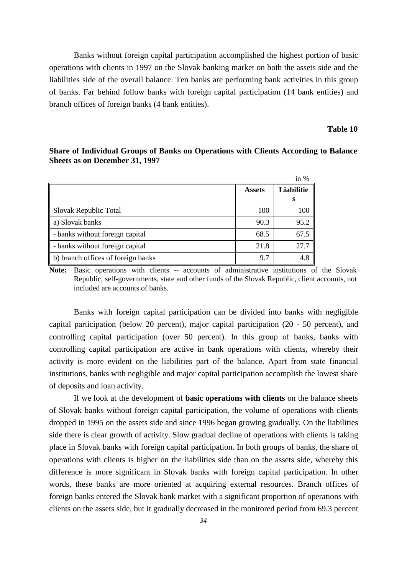Banks without foreign capital participation accomplished the highest portion of basic operations with clients in 1997 on the Slovak banking market on both the assets side and the liabilities side of the overall balance. Ten banks are performing bank activities in this group of banks. Far behind follow banks with foreign capital participation (14 bank entities) and branch offices of foreign banks (4 bank entities).

#### **Table 10**

 in % **Assets Liabilitie s**  Slovak Republic Total 100 100 100 a) Slovak banks  $90.3$  95.2 - banks without foreign capital 68.5 67.5

- banks without foreign capital 21.8 27.7 b) branch offices of foreign banks 9.7 4.8

**Share of Individual Groups of Banks on Operations with Clients According to Balance Sheets as on December 31, 1997**

**Note:** Basic operations with clients -- accounts of administrative institutions of the Slovak Republic, self-governments, state and other funds of the Slovak Republic, client accounts, not included are accounts of banks.

Banks with foreign capital participation can be divided into banks with negligible capital participation (below 20 percent), major capital participation (20 - 50 percent), and controlling capital participation (over 50 percent). In this group of banks, banks with controlling capital participation are active in bank operations with clients, whereby their activity is more evident on the liabilities part of the balance. Apart from state financial institutions, banks with negligible and major capital participation accomplish the lowest share of deposits and loan activity.

If we look at the development of **basic operations with clients** on the balance sheets of Slovak banks without foreign capital participation, the volume of operations with clients dropped in 1995 on the assets side and since 1996 began growing gradually. On the liabilities side there is clear growth of activity. Slow gradual decline of operations with clients is taking place in Slovak banks with foreign capital participation. In both groups of banks, the share of operations with clients is higher on the liabilities side than on the assets side, whereby this difference is more significant in Slovak banks with foreign capital participation. In other words, these banks are more oriented at acquiring external resources. Branch offices of foreign banks entered the Slovak bank market with a significant proportion of operations with clients on the assets side, but it gradually decreased in the monitored period from 69.3 percent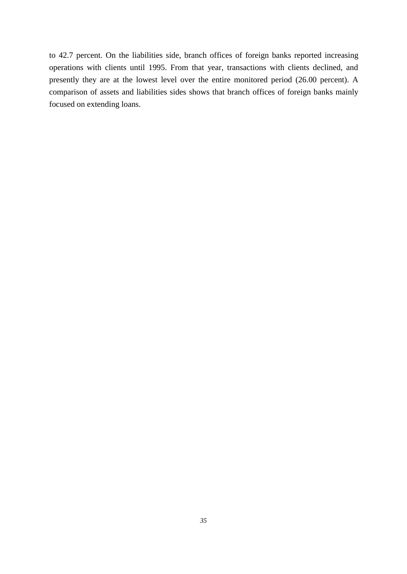to 42.7 percent. On the liabilities side, branch offices of foreign banks reported increasing operations with clients until 1995. From that year, transactions with clients declined, and presently they are at the lowest level over the entire monitored period (26.00 percent). A comparison of assets and liabilities sides shows that branch offices of foreign banks mainly focused on extending loans.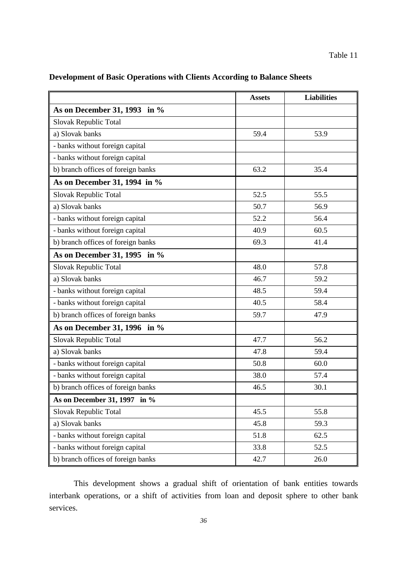| Development of Basic Operations with Clients According to Balance Sheets |
|--------------------------------------------------------------------------|
|--------------------------------------------------------------------------|

|                                    | <b>Assets</b> | <b>Liabilities</b> |
|------------------------------------|---------------|--------------------|
| As on December 31, 1993 in $%$     |               |                    |
| Slovak Republic Total              |               |                    |
| a) Slovak banks                    | 59.4          | 53.9               |
| - banks without foreign capital    |               |                    |
| - banks without foreign capital    |               |                    |
| b) branch offices of foreign banks | 63.2          | 35.4               |
| As on December 31, 1994 in %       |               |                    |
| Slovak Republic Total              | 52.5          | 55.5               |
| a) Slovak banks                    | 50.7          | 56.9               |
| - banks without foreign capital    | 52.2          | 56.4               |
| - banks without foreign capital    | 40.9          | 60.5               |
| b) branch offices of foreign banks | 69.3          | 41.4               |
| As on December 31, 1995 in $%$     |               |                    |
| Slovak Republic Total              | 48.0          | 57.8               |
| a) Slovak banks                    | 46.7          | 59.2               |
| - banks without foreign capital    | 48.5          | 59.4               |
| - banks without foreign capital    | 40.5          | 58.4               |
| b) branch offices of foreign banks | 59.7          | 47.9               |
| As on December 31, 1996 in $%$     |               |                    |
| Slovak Republic Total              | 47.7          | 56.2               |
| a) Slovak banks                    | 47.8          | 59.4               |
| - banks without foreign capital    | 50.8          | 60.0               |
| - banks without foreign capital    | 38.0          | 57.4               |
| b) branch offices of foreign banks | 46.5          | 30.1               |
| As on December 31, 1997 in %       |               |                    |
| Slovak Republic Total              | 45.5          | 55.8               |
| a) Slovak banks                    | 45.8          | 59.3               |
| - banks without foreign capital    | 51.8          | 62.5               |
| - banks without foreign capital    | 33.8          | 52.5               |
| b) branch offices of foreign banks | 42.7          | 26.0               |

This development shows a gradual shift of orientation of bank entities towards interbank operations, or a shift of activities from loan and deposit sphere to other bank services.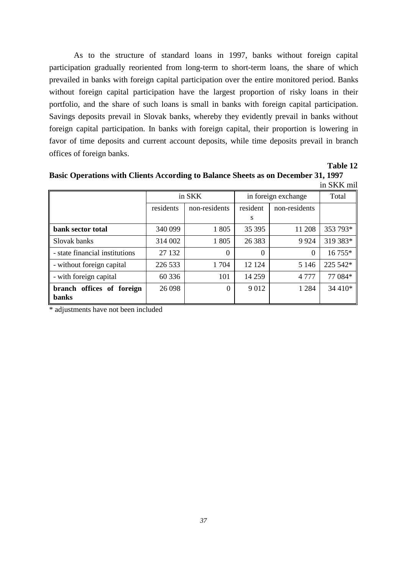As to the structure of standard loans in 1997, banks without foreign capital participation gradually reoriented from long-term to short-term loans, the share of which prevailed in banks with foreign capital participation over the entire monitored period. Banks without foreign capital participation have the largest proportion of risky loans in their portfolio, and the share of such loans is small in banks with foreign capital participation. Savings deposits prevail in Slovak banks, whereby they evidently prevail in banks without foreign capital participation. In banks with foreign capital, their proportion is lowering in favor of time deposits and current account deposits, while time deposits prevail in branch offices of foreign banks.

**Table 12**

**Basic Operations with Clients According to Balance Sheets as on December 31, 1997** in SKK mil

| шылы шп                                   |           |               |                     |               |          |
|-------------------------------------------|-----------|---------------|---------------------|---------------|----------|
|                                           | in SKK    |               | in foreign exchange |               | Total    |
|                                           | residents | non-residents | resident            | non-residents |          |
|                                           |           |               | S                   |               |          |
| bank sector total                         | 340 099   | 1805          | 35 39 5             | 11 208        | 353 793* |
| Slovak banks                              | 314 002   | 1805          | 26 3 8 3            | 9924          | 319 383* |
| - state financial institutions            | 27 132    | 0             | $\Omega$            | $\Omega$      | 16 755*  |
| - without foreign capital                 | 226 533   | 1704          | 12 124              | 5 1 4 6       | 225 542* |
| - with foreign capital                    | 60 336    | 101           | 14 259              | 4777          | 77 084*  |
| branch offices of foreign<br><b>banks</b> | 26 0 98   | $\Omega$      | 9012                | 1 2 8 4       | 34 410*  |

\* adjustments have not been included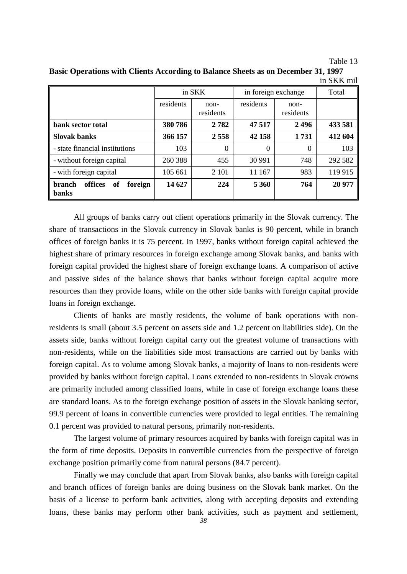Table 13

| Basic Operations with Clients According to Balance Sheets as on December 31, 1997 |            |
|-----------------------------------------------------------------------------------|------------|
|                                                                                   | in SKK mil |

|                                                           | in SKK    |                     | in foreign exchange |                   | Total   |  |
|-----------------------------------------------------------|-----------|---------------------|---------------------|-------------------|---------|--|
|                                                           | residents | $non-$<br>residents | residents           | non-<br>residents |         |  |
| bank sector total                                         | 380786    | 2782                | 47 517              | 2496              | 433 581 |  |
| <b>Slovak banks</b>                                       | 366 157   | 2 5 5 8             | 42 158              | 1731              | 412 604 |  |
| - state financial institutions                            | 103       | $\Omega$            | $\theta$            | 0                 | 103     |  |
| - without foreign capital                                 | 260 388   | 455                 | 30 991              | 748               | 292 582 |  |
| - with foreign capital                                    | 105 661   | 2 1 0 1             | 11 167              | 983               | 119 915 |  |
| offices<br><b>branch</b><br>of<br>foreign<br><b>banks</b> | 14 627    | 224                 | 5 3 6 0             | 764               | 20 977  |  |

All groups of banks carry out client operations primarily in the Slovak currency. The share of transactions in the Slovak currency in Slovak banks is 90 percent, while in branch offices of foreign banks it is 75 percent. In 1997, banks without foreign capital achieved the highest share of primary resources in foreign exchange among Slovak banks, and banks with foreign capital provided the highest share of foreign exchange loans. A comparison of active and passive sides of the balance shows that banks without foreign capital acquire more resources than they provide loans, while on the other side banks with foreign capital provide loans in foreign exchange.

Clients of banks are mostly residents, the volume of bank operations with nonresidents is small (about 3.5 percent on assets side and 1.2 percent on liabilities side). On the assets side, banks without foreign capital carry out the greatest volume of transactions with non-residents, while on the liabilities side most transactions are carried out by banks with foreign capital. As to volume among Slovak banks, a majority of loans to non-residents were provided by banks without foreign capital. Loans extended to non-residents in Slovak crowns are primarily included among classified loans, while in case of foreign exchange loans these are standard loans. As to the foreign exchange position of assets in the Slovak banking sector, 99.9 percent of loans in convertible currencies were provided to legal entities. The remaining 0.1 percent was provided to natural persons, primarily non-residents.

The largest volume of primary resources acquired by banks with foreign capital was in the form of time deposits. Deposits in convertible currencies from the perspective of foreign exchange position primarily come from natural persons (84.7 percent).

Finally we may conclude that apart from Slovak banks, also banks with foreign capital and branch offices of foreign banks are doing business on the Slovak bank market. On the basis of a license to perform bank activities, along with accepting deposits and extending loans, these banks may perform other bank activities, such as payment and settlement,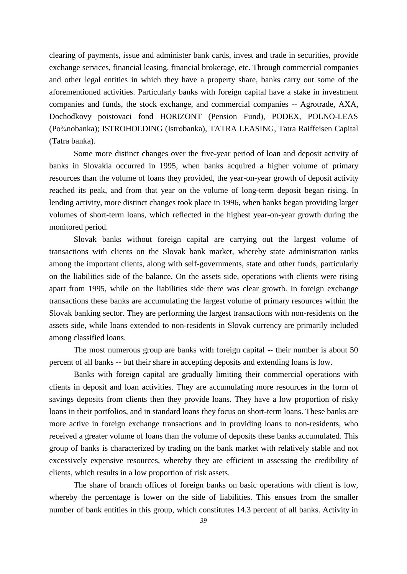clearing of payments, issue and administer bank cards, invest and trade in securities, provide exchange services, financial leasing, financial brokerage, etc. Through commercial companies and other legal entities in which they have a property share, banks carry out some of the aforementioned activities. Particularly banks with foreign capital have a stake in investment companies and funds, the stock exchange, and commercial companies -- Agrotrade, AXA, Dochodkovy poistovaci fond HORIZONT (Pension Fund), PODEX, POLNO-LEAS (Po¾nobanka); ISTROHOLDING (Istrobanka), TATRA LEASING, Tatra Raiffeisen Capital (Tatra banka).

Some more distinct changes over the five-year period of loan and deposit activity of banks in Slovakia occurred in 1995, when banks acquired a higher volume of primary resources than the volume of loans they provided, the year-on-year growth of deposit activity reached its peak, and from that year on the volume of long-term deposit began rising. In lending activity, more distinct changes took place in 1996, when banks began providing larger volumes of short-term loans, which reflected in the highest year-on-year growth during the monitored period.

Slovak banks without foreign capital are carrying out the largest volume of transactions with clients on the Slovak bank market, whereby state administration ranks among the important clients, along with self-governments, state and other funds, particularly on the liabilities side of the balance. On the assets side, operations with clients were rising apart from 1995, while on the liabilities side there was clear growth. In foreign exchange transactions these banks are accumulating the largest volume of primary resources within the Slovak banking sector. They are performing the largest transactions with non-residents on the assets side, while loans extended to non-residents in Slovak currency are primarily included among classified loans.

The most numerous group are banks with foreign capital -- their number is about 50 percent of all banks -- but their share in accepting deposits and extending loans is low.

Banks with foreign capital are gradually limiting their commercial operations with clients in deposit and loan activities. They are accumulating more resources in the form of savings deposits from clients then they provide loans. They have a low proportion of risky loans in their portfolios, and in standard loans they focus on short-term loans. These banks are more active in foreign exchange transactions and in providing loans to non-residents, who received a greater volume of loans than the volume of deposits these banks accumulated. This group of banks is characterized by trading on the bank market with relatively stable and not excessively expensive resources, whereby they are efficient in assessing the credibility of clients, which results in a low proportion of risk assets.

The share of branch offices of foreign banks on basic operations with client is low, whereby the percentage is lower on the side of liabilities. This ensues from the smaller number of bank entities in this group, which constitutes 14.3 percent of all banks. Activity in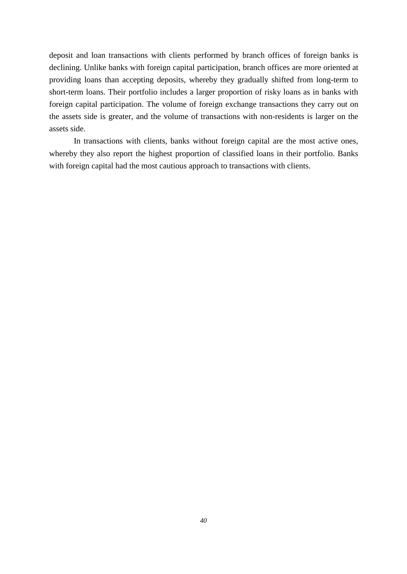deposit and loan transactions with clients performed by branch offices of foreign banks is declining. Unlike banks with foreign capital participation, branch offices are more oriented at providing loans than accepting deposits, whereby they gradually shifted from long-term to short-term loans. Their portfolio includes a larger proportion of risky loans as in banks with foreign capital participation. The volume of foreign exchange transactions they carry out on the assets side is greater, and the volume of transactions with non-residents is larger on the assets side.

In transactions with clients, banks without foreign capital are the most active ones, whereby they also report the highest proportion of classified loans in their portfolio. Banks with foreign capital had the most cautious approach to transactions with clients.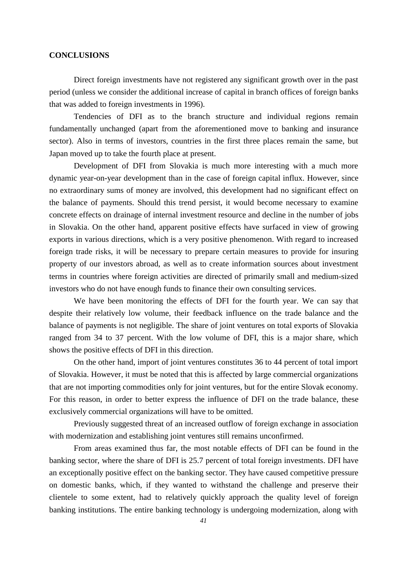#### **CONCLUSIONS**

Direct foreign investments have not registered any significant growth over in the past period (unless we consider the additional increase of capital in branch offices of foreign banks that was added to foreign investments in 1996).

Tendencies of DFI as to the branch structure and individual regions remain fundamentally unchanged (apart from the aforementioned move to banking and insurance sector). Also in terms of investors, countries in the first three places remain the same, but Japan moved up to take the fourth place at present.

Development of DFI from Slovakia is much more interesting with a much more dynamic year-on-year development than in the case of foreign capital influx. However, since no extraordinary sums of money are involved, this development had no significant effect on the balance of payments. Should this trend persist, it would become necessary to examine concrete effects on drainage of internal investment resource and decline in the number of jobs in Slovakia. On the other hand, apparent positive effects have surfaced in view of growing exports in various directions, which is a very positive phenomenon. With regard to increased foreign trade risks, it will be necessary to prepare certain measures to provide for insuring property of our investors abroad, as well as to create information sources about investment terms in countries where foreign activities are directed of primarily small and medium-sized investors who do not have enough funds to finance their own consulting services.

We have been monitoring the effects of DFI for the fourth year. We can say that despite their relatively low volume, their feedback influence on the trade balance and the balance of payments is not negligible. The share of joint ventures on total exports of Slovakia ranged from 34 to 37 percent. With the low volume of DFI, this is a major share, which shows the positive effects of DFI in this direction.

On the other hand, import of joint ventures constitutes 36 to 44 percent of total import of Slovakia. However, it must be noted that this is affected by large commercial organizations that are not importing commodities only for joint ventures, but for the entire Slovak economy. For this reason, in order to better express the influence of DFI on the trade balance, these exclusively commercial organizations will have to be omitted.

Previously suggested threat of an increased outflow of foreign exchange in association with modernization and establishing joint ventures still remains unconfirmed.

From areas examined thus far, the most notable effects of DFI can be found in the banking sector, where the share of DFI is 25.7 percent of total foreign investments. DFI have an exceptionally positive effect on the banking sector. They have caused competitive pressure on domestic banks, which, if they wanted to withstand the challenge and preserve their clientele to some extent, had to relatively quickly approach the quality level of foreign banking institutions. The entire banking technology is undergoing modernization, along with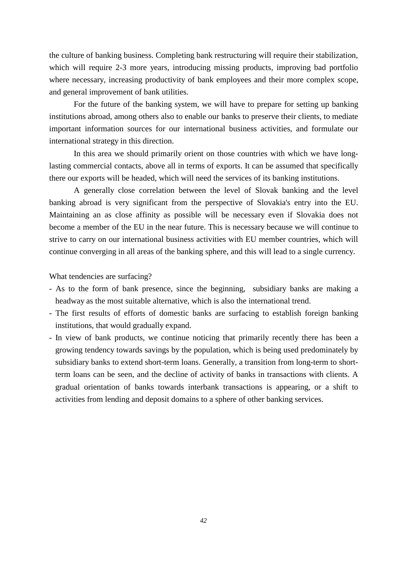the culture of banking business. Completing bank restructuring will require their stabilization, which will require 2-3 more years, introducing missing products, improving bad portfolio where necessary, increasing productivity of bank employees and their more complex scope, and general improvement of bank utilities.

For the future of the banking system, we will have to prepare for setting up banking institutions abroad, among others also to enable our banks to preserve their clients, to mediate important information sources for our international business activities, and formulate our international strategy in this direction.

In this area we should primarily orient on those countries with which we have longlasting commercial contacts, above all in terms of exports. It can be assumed that specifically there our exports will be headed, which will need the services of its banking institutions.

A generally close correlation between the level of Slovak banking and the level banking abroad is very significant from the perspective of Slovakia's entry into the EU. Maintaining an as close affinity as possible will be necessary even if Slovakia does not become a member of the EU in the near future. This is necessary because we will continue to strive to carry on our international business activities with EU member countries, which will continue converging in all areas of the banking sphere, and this will lead to a single currency.

What tendencies are surfacing?

- As to the form of bank presence, since the beginning, subsidiary banks are making a headway as the most suitable alternative, which is also the international trend.
- The first results of efforts of domestic banks are surfacing to establish foreign banking institutions, that would gradually expand.
- In view of bank products, we continue noticing that primarily recently there has been a growing tendency towards savings by the population, which is being used predominately by subsidiary banks to extend short-term loans. Generally, a transition from long-term to shortterm loans can be seen, and the decline of activity of banks in transactions with clients. A gradual orientation of banks towards interbank transactions is appearing, or a shift to activities from lending and deposit domains to a sphere of other banking services.